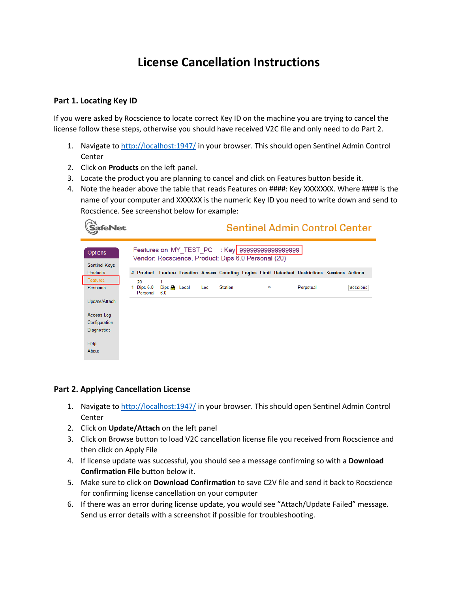## **License Cancellation Instructions**

## **Part 1. Locating Key ID**

If you were asked by Rocscience to locate correct Key ID on the machine you are trying to cancel the license follow these steps, otherwise you should have received V2C file and only need to do Part 2.

- 1. Navigate to<http://localhost:1947/> in your browser. This should open Sentinel Admin Control **Center**
- 2. Click on **Products** on the left panel.
- 3. Locate the product you are planning to cancel and click on Features button beside it.
- 4. Note the header above the table that reads Features on ####: Key XXXXXXX. Where #### is the name of your computer and XXXXXX is the numeric Key ID you need to write down and send to Rocscience. See screenshot below for example:

| <b>afeNet</b>                          |                                                                                                        |                                |                                            |  |     |         |  |          |  | <b>Sentinel Admin Control Center</b>                                                           |  |          |  |
|----------------------------------------|--------------------------------------------------------------------------------------------------------|--------------------------------|--------------------------------------------|--|-----|---------|--|----------|--|------------------------------------------------------------------------------------------------|--|----------|--|
| <b>Options</b><br><b>Sentinel Keys</b> | Features on MY_TEST_PC : Key 999999999999999999<br>Vendor: Rocscience, Product: Dips 6.0 Personal (20) |                                |                                            |  |     |         |  |          |  |                                                                                                |  |          |  |
| <b>Products</b>                        |                                                                                                        |                                |                                            |  |     |         |  |          |  | # Product Feature Location Access Counting Logins Limit Detached Restrictions Sessions Actions |  |          |  |
| Features<br><b>Sessions</b>            |                                                                                                        | 20<br>1 Dips $6.0$<br>Personal | 1<br>$\rho$ Dips $\mathbf{A}$ Local<br>6.0 |  | Loc | Station |  | $\infty$ |  | - Perpetual                                                                                    |  | Sessions |  |
| Update/Attach                          |                                                                                                        |                                |                                            |  |     |         |  |          |  |                                                                                                |  |          |  |
| Access Log                             |                                                                                                        |                                |                                            |  |     |         |  |          |  |                                                                                                |  |          |  |
| Configuration                          |                                                                                                        |                                |                                            |  |     |         |  |          |  |                                                                                                |  |          |  |
| <b>Diagnostics</b>                     |                                                                                                        |                                |                                            |  |     |         |  |          |  |                                                                                                |  |          |  |
| Help                                   |                                                                                                        |                                |                                            |  |     |         |  |          |  |                                                                                                |  |          |  |
| About                                  |                                                                                                        |                                |                                            |  |     |         |  |          |  |                                                                                                |  |          |  |

## **Part 2. Applying Cancellation License**

- 1. Navigate to<http://localhost:1947/> in your browser. This should open Sentinel Admin Control **Center**
- 2. Click on **Update/Attach** on the left panel
- 3. Click on Browse button to load V2C cancellation license file you received from Rocscience and then click on Apply File
- 4. If license update was successful, you should see a message confirming so with a **Download Confirmation File** button below it.
- 5. Make sure to click on **Download Confirmation** to save C2V file and send it back to Rocscience for confirming license cancellation on your computer
- 6. If there was an error during license update, you would see "Attach/Update Failed" message. Send us error details with a screenshot if possible for troubleshooting.